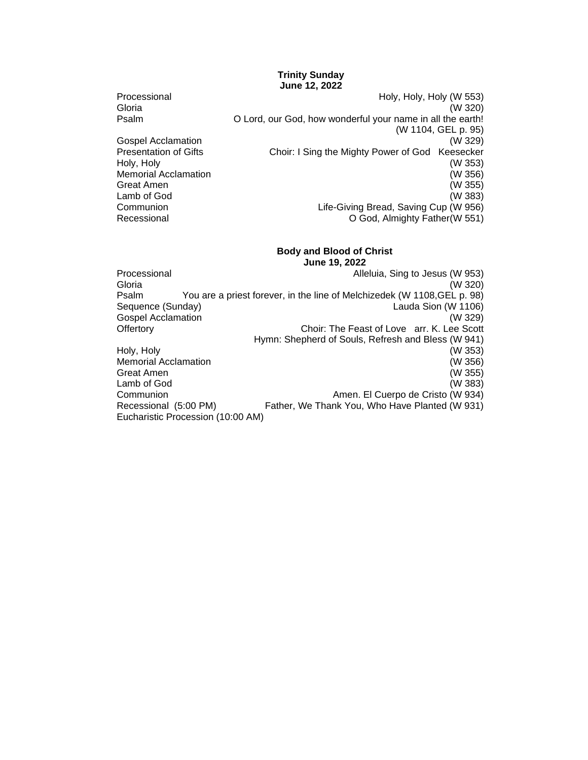#### **Trinity Sunday June 12, 2022**

Processional **Holy, Holy, Holy (W 553)** Gloria (W 320) Psalm O Lord, our God, how wonderful your name in all the earth! (W 1104, GEL p. 95) Gospel Acclamation (W 329) Presentation of Gifts Choir: I Sing the Mighty Power of God Keesecker Holy, Holy (W 353) Memorial Acclamation (W 356) Great Amen (W 355) Lamb of God (W 383) Communion Life-Giving Bread, Saving Cup (W 956) Recessional O God, Almighty Father(W 551)

#### **Body and Blood of Christ June 19, 2022**

Processional **Alleluia, Sing to Jesus (W 953)** Alleluia, Sing to Jesus (W 953) Gloria (W 320) Psalm You are a priest forever, in the line of Melchizedek (W 1108,GEL p. 98) Sequence (Sunday) Lauda Sion (W 1106) Gospel Acclamation (W 329) Offertory Choir: The Feast of Love arr. K. Lee Scott Hymn: Shepherd of Souls, Refresh and Bless (W 941) Holy, Holy (W 353) Memorial Acclamation (W 356) Great Amen (W 355) Lamb of God (W 383) Communion Amen. El Cuerpo de Cristo (W 934) Recessional (5:00 PM) Father, We Thank You, Who Have Planted (W 931) Eucharistic Procession (10:00 AM)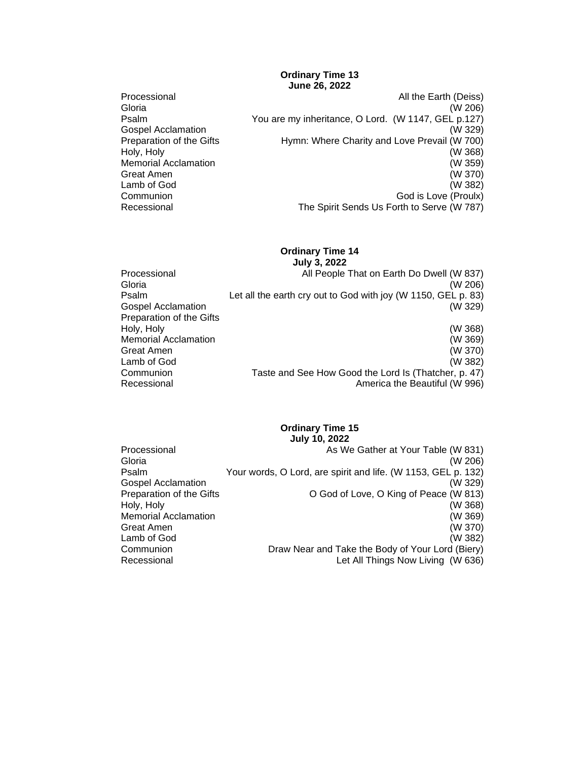## **Ordinary Time 13 June 26, 2022**

- Great Amen
- Processional All the Earth (Deiss)<br>Gloria (W 206) Gloria (W 206) Psalm You are my inheritance, O Lord. (W 1147, GEL p.127) Gospel Acclamation (W 329) Preparation of the Gifts **Hymn: Where Charity and Love Prevail (W 700)** Holy, Holy (W 368) Memorial Acclamation (W 359)<br>Great Amen (W 370) Lamb of God (W 382)<br>
Communion (W 382) Communion Communion<br>Recessional The Spirit Sends Us Forth to Serve (W 787) The Spirit Sends Us Forth to Serve (W 787)

# **Ordinary Time 14**

|                             | <b>July 3, 2022</b>                                           |
|-----------------------------|---------------------------------------------------------------|
| Processional                | All People That on Earth Do Dwell (W 837)                     |
| Gloria                      | (W 206)                                                       |
| Psalm                       | Let all the earth cry out to God with joy (W 1150, GEL p. 83) |
| <b>Gospel Acclamation</b>   | (W 329)                                                       |
| Preparation of the Gifts    |                                                               |
| Holy, Holy                  | (W 368)                                                       |
| <b>Memorial Acclamation</b> | (W 369)                                                       |
| Great Amen                  | (W 370)                                                       |
| Lamb of God                 | (W 382)                                                       |
| Communion                   | Taste and See How Good the Lord Is (Thatcher, p. 47)          |
| Recessional                 | America the Beautiful (W 996)                                 |

## **Ordinary Time 15 July 10, 2022**

| Processional                | As We Gather at Your Table (W 831)                            |
|-----------------------------|---------------------------------------------------------------|
| Gloria                      | (W 206)                                                       |
| Psalm                       | Your words, O Lord, are spirit and life. (W 1153, GEL p. 132) |
| <b>Gospel Acclamation</b>   | (W 329)                                                       |
| Preparation of the Gifts    | O God of Love, O King of Peace (W 813)                        |
| Holy, Holy                  | (W 368)                                                       |
| <b>Memorial Acclamation</b> | (W 369)                                                       |
| Great Amen                  | (W 370)                                                       |
| Lamb of God                 | (W 382)                                                       |
| Communion                   | Draw Near and Take the Body of Your Lord (Biery)              |
| Recessional                 | Let All Things Now Living (W 636)                             |
|                             |                                                               |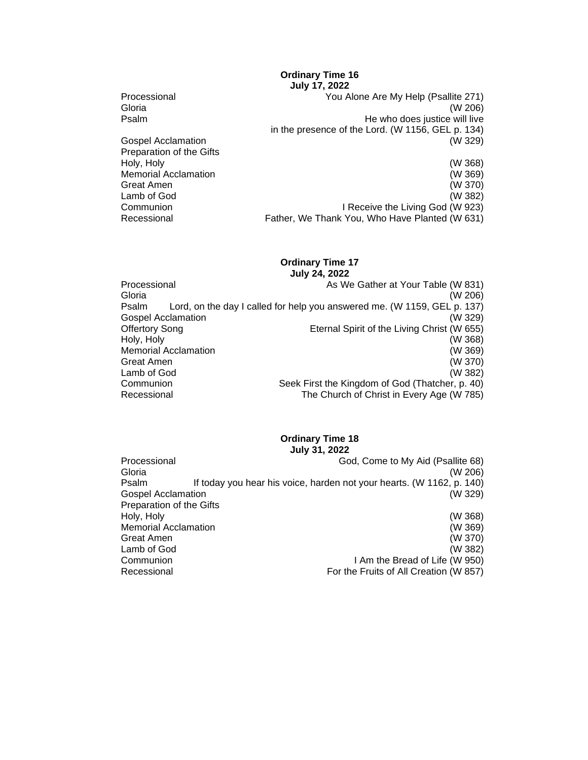## **Ordinary Time 16 July 17, 2022**

Processional Processional The Covenance Covenance Covenance Covenance Covenance Covenance Covenance Covenance C<br>
Covenance Covenance Covenance Covenance Covenance Covenance Covenance Covenance Covenance Covenance Covenance Gloria (W 206) Psalm **Product and Product Algebra** He who does justice will live in the presence of the Lord. (W 1156, GEL p. 134) Gospel Acclamation Preparation of the Gifts Holy, Holy (W 368)<br>
Memorial Acclamation (W 369) Memorial Acclamation Great Amen (W 370)<br>Lamb of God (W 382) Lamb of God<br>Communion Communion I Receive the Living God (W 923)<br>Recessional **I Recessional** Father. We Thank You. Who Have Planted (W 631) Father, We Thank You, Who Have Planted (W 631)

#### **Ordinary Time 17 July 24, 2022**

|                             | <b>UUIY LT. LULL</b>                                                     |
|-----------------------------|--------------------------------------------------------------------------|
| Processional                | As We Gather at Your Table (W 831)                                       |
| Gloria                      | (W 206)                                                                  |
| Psalm                       | Lord, on the day I called for help you answered me. (W 1159, GEL p. 137) |
| Gospel Acclamation          | (W 329)                                                                  |
| Offertory Song              | Eternal Spirit of the Living Christ (W 655)                              |
| Holy, Holy                  | (W 368)                                                                  |
| <b>Memorial Acclamation</b> | (W 369)                                                                  |
| Great Amen                  | (W 370)                                                                  |
| Lamb of God                 | (W 382)                                                                  |
| Communion                   | Seek First the Kingdom of God (Thatcher, p. 40)                          |
| Recessional                 | The Church of Christ in Every Age (W 785)                                |

## **Ordinary Time 18**

**July 31, 2022**

| Processional                | God, Come to My Aid (Psallite 68)                                     |
|-----------------------------|-----------------------------------------------------------------------|
| Gloria                      | (W 206)                                                               |
| Psalm                       | If today you hear his voice, harden not your hearts. (W 1162, p. 140) |
| Gospel Acclamation          | (W 329)                                                               |
| Preparation of the Gifts    |                                                                       |
| Holy, Holy                  | (W 368)                                                               |
| <b>Memorial Acclamation</b> | (W 369)                                                               |
| Great Amen                  | (W 370)                                                               |
| Lamb of God                 | (W 382)                                                               |
| Communion                   | I Am the Bread of Life (W 950)                                        |
| Recessional                 | For the Fruits of All Creation (W 857)                                |
|                             |                                                                       |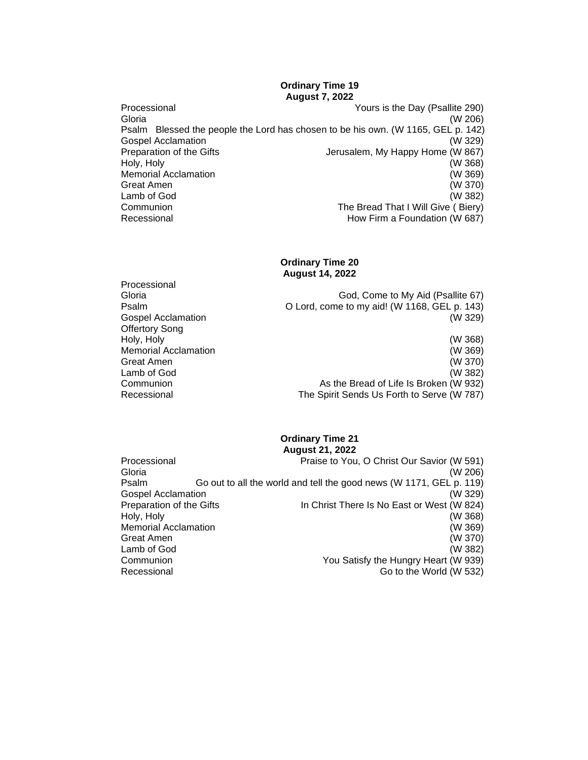## **Ordinary Time 19 August 7, 2022**

Processional Yours is the Day (Psallite 290) Gloria (W 206) Psalm Blessed the people the Lord has chosen to be his own. (W 1165, GEL p. 142) Gospel Acclamation (W 329) Preparation of the Gifts **Jerusalem, My Happy Home (W 867)**<br>Holy, Holy (W 368) Holy, Holy (W 368) Memorial Acclamation Great Amen (W 370)<br>Lamb of God (W 382) Lamb of God Communion The Bread That I Will Give ( Biery) Recessional **Recessional Recessional How Firm a Foundation (W 687)** 

## **Ordinary Time 20 August 14, 2022**

Processional<br>Gloria God, Come to My Aid (Psallite 67) Psalm O Lord, come to my aid! (W 1168, GEL p. 143) Gospel Acclamation (W 329) Offertory Song Holy, Holy (W 368) **Memorial Acclamation** Great Amen (W 370) Lamb of God (W 382) Communion As the Bread of Life Is Broken (W 932) Recessional The Spirit Sends Us Forth to Serve (W 787)

#### **Ordinary Time 21 August 21, 2022**

| Processional                | Praise to You, O Christ Our Savior (W 591)                          |  |
|-----------------------------|---------------------------------------------------------------------|--|
| Gloria                      | (W 206)                                                             |  |
| Psalm                       | Go out to all the world and tell the good news (W 1171, GEL p. 119) |  |
| Gospel Acclamation          | (W 329)                                                             |  |
| Preparation of the Gifts    | In Christ There Is No East or West (W 824)                          |  |
| Holy, Holy                  | (W 368)                                                             |  |
| <b>Memorial Acclamation</b> | (W 369)                                                             |  |
| Great Amen                  | (W 370)                                                             |  |
| Lamb of God                 | (W 382)                                                             |  |
| Communion                   | You Satisfy the Hungry Heart (W 939)                                |  |
| Recessional                 | Go to the World (W 532)                                             |  |
|                             |                                                                     |  |